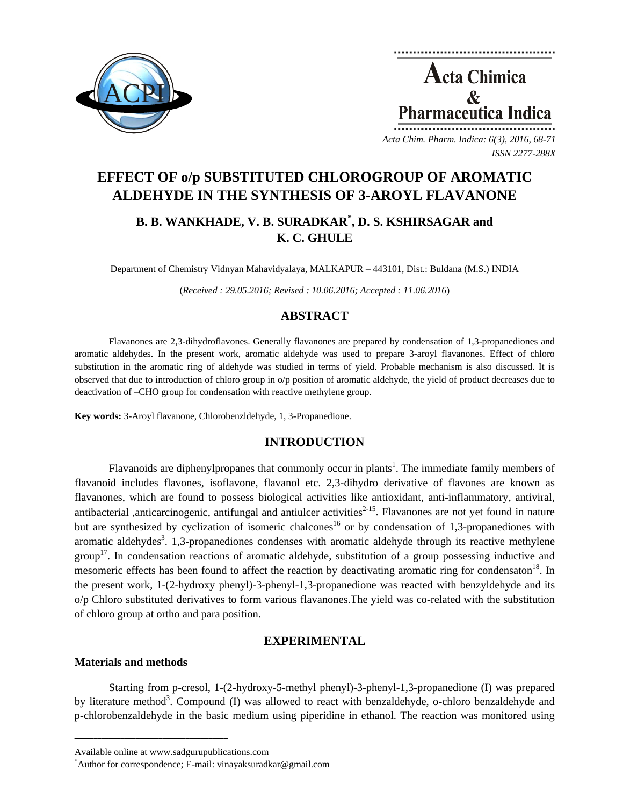



# **EFFECT OF o/p SUBSTITUTED CHLOROGROUP OF AROMATIC ALDEHYDE IN THE SYNTHESIS OF 3-AROYL FLAVANONE**

# **B. B. WANKHADE, V. B. SURADKAR\* , D. S. KSHIRSAGAR and K. C. GHULE**

Department of Chemistry Vidnyan Mahavidyalaya, MALKAPUR – 443101, Dist.: Buldana (M.S.) INDIA

(*Received : 29.05.2016; Revised : 10.06.2016; Accepted : 11.06.2016*)

# **ABSTRACT**

Flavanones are 2,3-dihydroflavones. Generally flavanones are prepared by condensation of 1,3-propanediones and aromatic aldehydes. In the present work, aromatic aldehyde was used to prepare 3-aroyl flavanones. Effect of chloro substitution in the aromatic ring of aldehyde was studied in terms of yield. Probable mechanism is also discussed. It is observed that due to introduction of chloro group in o/p position of aromatic aldehyde, the yield of product decreases due to deactivation of –CHO group for condensation with reactive methylene group.

**Key words:** 3-Aroyl flavanone, Chlorobenzldehyde, 1, 3-Propanedione.

## **INTRODUCTION**

Flavanoids are diphenylpropanes that commonly occur in plants<sup>1</sup>. The immediate family members of flavanoid includes flavones, isoflavone, flavanol etc. 2,3-dihydro derivative of flavones are known as flavanones, which are found to possess biological activities like antioxidant, anti-inflammatory, antiviral, antibacterial ,anticarcinogenic, antifungal and antiulcer activities $^{2-15}$ . Flavanones are not yet found in nature but are synthesized by cyclization of isomeric chalcones<sup>16</sup> or by condensation of 1,3-propanediones with aromatic aldehydes<sup>3</sup>. 1,3-propanediones condenses with aromatic aldehyde through its reactive methylene group<sup>17</sup>. In condensation reactions of aromatic aldehyde, substitution of a group possessing inductive and mesomeric effects has been found to affect the reaction by deactivating aromatic ring for condensaton<sup>18</sup>. In the present work, 1-(2-hydroxy phenyl)-3-phenyl-1,3-propanedione was reacted with benzyldehyde and its o/p Chloro substituted derivatives to form various flavanones.The yield was co-related with the substitution of chloro group at ortho and para position.

## **EXPERIMENTAL**

#### **Materials and methods**

Starting from p-cresol, 1-(2-hydroxy-5-methyl phenyl)-3-phenyl-1,3-propanedione (I) was prepared by literature method<sup>3</sup>. Compound (I) was allowed to react with benzaldehyde, o-chloro benzaldehyde and p-chlorobenzaldehyde in the basic medium using piperidine in ethanol. The reaction was monitored using

**\_\_\_\_\_\_\_\_\_\_\_\_\_\_\_\_\_\_\_\_\_\_\_\_\_\_\_\_\_\_\_\_\_\_\_\_\_\_\_\_**

Available online at www.sadgurupublications.com \*

Author for correspondence; E-mail: vinayaksuradkar@gmail.com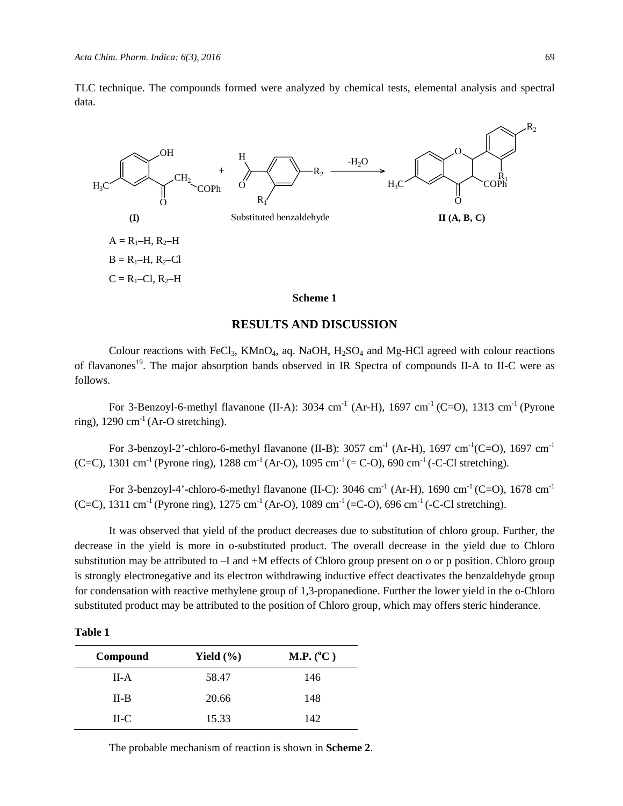TLC technique. The compounds formed were analyzed by chemical tests, elemental analysis and spectral data.



#### **RESULTS AND DISCUSSION**

Colour reactions with FeCl<sub>3</sub>, KMnO<sub>4</sub>, aq. NaOH,  $H_2SO_4$  and Mg-HCl agreed with colour reactions of flavanones<sup>19</sup>. The major absorption bands observed in IR Spectra of compounds II-A to II-C were as follows.

For 3-Benzoyl-6-methyl flavanone (II-A): 3034 cm<sup>-1</sup> (Ar-H), 1697 cm<sup>-1</sup> (C=O), 1313 cm<sup>-1</sup> (Pyrone ring),  $1290 \text{ cm}^{-1}$  (Ar-O stretching).

For 3-benzoyl-2'-chloro-6-methyl flavanone (II-B): 3057 cm<sup>-1</sup> (Ar-H), 1697 cm<sup>-1</sup>(C=O), 1697 cm<sup>-1</sup> (C=C), 1301 cm<sup>-1</sup> (Pyrone ring), 1288 cm<sup>-1</sup> (Ar-O), 1095 cm<sup>-1</sup> (= C-O), 690 cm<sup>-1</sup> (-C-Cl stretching).

For 3-benzoyl-4'-chloro-6-methyl flavanone (II-C): 3046 cm<sup>-1</sup> (Ar-H), 1690 cm<sup>-1</sup> (C=O), 1678 cm<sup>-1</sup> (C=C), 1311 cm<sup>-1</sup> (Pyrone ring), 1275 cm<sup>-1</sup> (Ar-O), 1089 cm<sup>-1</sup> (=C-O), 696 cm<sup>-1</sup> (-C-Cl stretching).

It was observed that yield of the product decreases due to substitution of chloro group. Further, the decrease in the yield is more in o-substituted product. The overall decrease in the yield due to Chloro substitution may be attributed to –I and +M effects of Chloro group present on o or p position. Chloro group is strongly electronegative and its electron withdrawing inductive effect deactivates the benzaldehyde group for condensation with reactive methylene group of 1,3-propanedione. Further the lower yield in the o-Chloro substituted product may be attributed to the position of Chloro group, which may offers steric hinderance.

| Π<br>Ш |  |
|--------|--|
|        |  |

| Compound | Yield $(\% )$ | M.P. (°C) |
|----------|---------------|-----------|
| $II-A$   | 58.47         | 146       |
| $II-B$   | 20.66         | 148       |
| $H-C$    | 15.33         | 142       |

The probable mechanism of reaction is shown in **Scheme 2**.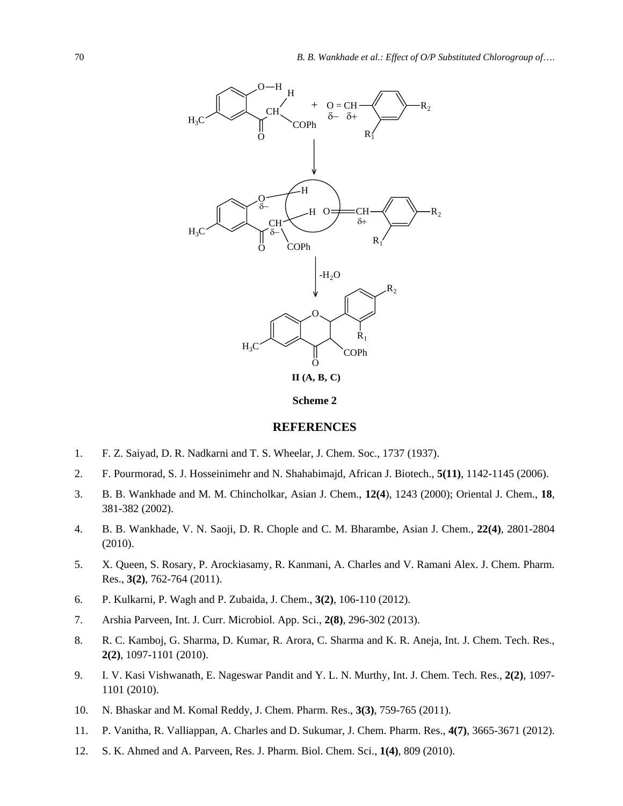

**Scheme 2**

#### **REFERENCES**

- 1. F. Z. Saiyad, D. R. Nadkarni and T. S. Wheelar, J. Chem. Soc., 1737 (1937).
- 2. F. Pourmorad, S. J. Hosseinimehr and N. Shahabimajd, African J. Biotech., **5(11)**, 1142-1145 (2006).
- 3. B. B. Wankhade and M. M. Chincholkar, Asian J. Chem., **12(4**), 1243 (2000); Oriental J. Chem., **18**, 381-382 (2002).
- 4. B. B. Wankhade, V. N. Saoji, D. R. Chople and C. M. Bharambe, Asian J. Chem., **22(4)**, 2801-2804 (2010).
- 5. X. Queen, S. Rosary, P. Arockiasamy, R. Kanmani, A. Charles and V. Ramani Alex. J. Chem. Pharm. Res., **3(2)**, 762-764 (2011).
- 6. P. Kulkarni, P. Wagh and P. Zubaida, J. Chem., **3(2)**, 106-110 (2012).
- 7. Arshia Parveen, Int. J. Curr. Microbiol. App. Sci., **2(8)**, 296-302 (2013).
- 8. R. C. Kamboj, G. Sharma, D. Kumar, R. Arora, C. Sharma and K. R. Aneja, Int. J. Chem. Tech. Res., **2(2)**, 1097-1101 (2010).
- 9. I. V. Kasi Vishwanath, E. Nageswar Pandit and Y. L. N. Murthy, Int. J. Chem. Tech. Res., **2(2)**, 1097- 1101 (2010).
- 10. N. Bhaskar and M. Komal Reddy, J. Chem. Pharm. Res., **3(3)**, 759-765 (2011).
- 11. P. Vanitha, R. Valliappan, A. Charles and D. Sukumar, J. Chem. Pharm. Res., **4(7)**, 3665-3671 (2012).
- 12. S. K. Ahmed and A. Parveen, Res. J. Pharm. Biol. Chem. Sci., **1(4)**, 809 (2010).